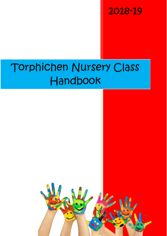2018-19

# Torphichen Nursery Class Handbook

0

 $\overline{\phantom{a}}$ 

 $\tilde{\mathbf{r}}$ 

**play**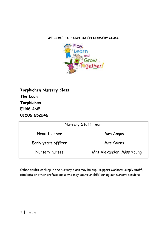# **WELCOME TO TORPHICHEN NURSERY CLASS**



| Nursery Staff Team  |                           |
|---------------------|---------------------------|
| Head teacher        | Mrs Angus                 |
| Early years officer | <b>Mrs Cairns</b>         |
| Nursery nurses      | Mrs Alexander, Miss Young |

Other adults working in the nursery class may be pupil support workers, supply staff, students or other professionals who may see your child during our nursery sessions.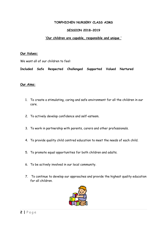#### **TORPHICHEN NURSERY CLASS AIMS**

#### **SESSION 2018-2019**

#### **'Our children are capable, responsible and unique '**

#### **Our Values:**

We want all of our children to feel:

**Included Safe Respected Challenged Supported Valued Nurtured**

#### **Our Aims:**

- 1. To create a stimulating, caring and safe environment for all the children in our care.
- 2. To actively develop confidence and self-esteem.
- 3. To work in partnership with parents, carers and other professionals.
- 4. To provide quality child centred education to meet the needs of each child.
- 5. To promote equal opportunities for both children and adults.
- 6. To be actively involved in our local community.
- 7. To continue to develop our approaches and provide the highest quality education for all children.

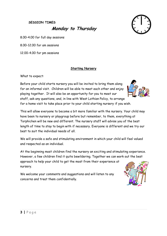#### **SESSION TIMES**

**Monday to Thursday**



8.00-4.00 for full day sessions

8.00-12.00 for am sessions

12.00-4.00 for pm sessions

#### **Starting Nursery**

What to expect:

Before your child starts nursery you will be invited to bring them along for an informal visit. Children will be able to meet each other and enjoy playing together. It will also be an opportunity for you to meet our staff, ask any questions, and, in line with West Lothian Policy, to arrange for a home visit to take place prior to your child starting nursery if you wish.



We will provide a safe and stimulating environment in which your child will feel valued and respected as an individual.

At the beginning most children find the nursery an exciting and stimulating experience. However, a few children find it quite bewildering. Together we can work out the best approach to help your child to get the most from their experience at nursery.

We welcome your comments and suggestions and will listen to any concerns and treat them confidentially.

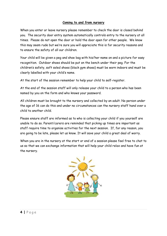#### **Coming to and from nursery**

When you enter or leave nursery please remember to check the door is closed behind you. The security door entry system automatically controls entry to the nursery at all times. Please do not open the door or hold the door open for other people. We know this may seem rude but we're sure you will appreciate this is for security reasons and to ensure the safety of all our children.

Your child will be given a peg and shoe bag with his/her name on and a picture for easy recognition. Outdoor shoes should be put on the bench under their peg. For the children's safety, soft soled shoes (black gym shoes) must be worn indoors and must be clearly labelled with your child's name.

At the start of the session remember to help your child to self-register.

At the end of the session staff will only release your child to a person who has been named by you on the form and who knows your password.

All children must be brought to the nursery and collected by an adult. No person under the age of 16 can do this and under no circumstances can the nursery staff hand over a child to another child.

Please ensure staff are informed as to who is collecting your child if you yourself are unable to do so. Parent/carers are reminded that picking up times are important as staff require time to organise activities for the next session. If, for any reason, you are going to be late, please let us know. It will save your child a great deal of worry.

When you are in the nursery at the start or end of a session please feel free to chat to us so that we can exchange information that will help your child relax and have fun at the nursery.

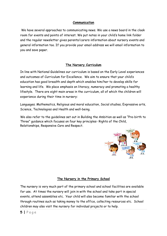## **Communication**

We have several approaches to communicating news. We use a news board in the cloak room for events and points of interest. We put notes in your child's home link folder and the regular newsletter gives parents/carers information about nursery events and general information too. If you provide your email address we will email information to you and save paper.

# **The Nursery Curriculum**

In line with National Guidelines our curriculum is based on the Early Level experiences and outcomes of Curriculum for Excellence. We aim to ensure that your child's education has good breadth and depth which enables him/her to develop skills for learning and life. We place emphasis on literacy, numeracy and promoting a healthy lifestyle. There are eight main areas in the curriculum, all of which the children will experience during their time in nursery:

Languages. Mathematics, Religious and moral education, Social studies, Expressive arts, Science, Technologies and Health and well-being.

We also refer to the guidelines set out in Building the Ambition as well as "Pre-birth to Three" guidance which focuses on four key principles- Rights of the Child, Relationships, Responsive Care and Respect.



# **The Nursery in the Primary School**

The nursery is very much part of the primary school and school facilities are available for use. At times the nursery will join in with the school and take part in special events, attend assemblies etc. Your child will also become familiar with the school through routines such as taking money to the office, collecting resources etc. School children may also visit the nursery for individual projects or to help.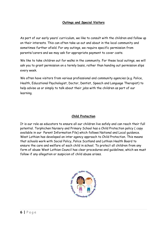## **Outings and Special Visitors**

As part of our early years' curriculum, we like to consult with the children and follow up on their interests. This can often take us out and about in the local community and sometimes further afield. For any outings, we require specific permission from parents/carers and we may ask for appropriate payment to cover costs.

We like to take children out for walks in the community. For these local outings, we will ask you to grant permission on a termly basis, rather than handing out permission slips every week.

We often have visitors from various professional and community agencies (e.g. Police, Health, Educational Psychologist, Doctor, Dentist, Speech and Language Therapist) to help advise us or simply to talk about their jobs with the children as part of our learning.

#### **Child Protection**

It is our role as educators to ensure all our children live safely and can reach their full potential. Torphichen Nursery and Primary School has a Child Protection policy ( copy available in our Parent Information File) which follows National and Local guidance. West Lothian has developed an inter agency approach to Child Protection. This means that schools work with Social Policy, Police Scotland and Lothian Health Board to ensure the care and welfare of each child in school. To protect all children from any form of abuse West Lothian Council has clear procedures and guidelines, which we must follow if any allegation or suspicion of child abuse arises.

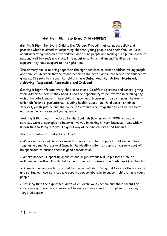

## **Getting it Right for Every Child (GIRFEC)**

Getting it Right for Every Child is the "Golden Thread" that connects policy and practice which is aimed at supporting children, young people and their families. It is about improving outcomes for children and young people and making sure public agencies respond well to needs and risks. It is about ensuring children and families get the support they need support at the right time.

The primary aim is to bring together the right services to assist children, young people and families, in order that Scotland becomes the best place in the world for children to grow up. It seeks to ensure that children are **Safe, Healthy, Active, Nurtured, Achieving, Respected, Responsible and Included**.

Getting it Right affects every child in Scotland. It affects parents and carers, giving them additional help if they need it and the opportunity to be involved in planning any extra, targeted, support their children may need. However, it also changes the way in which different organisations, including health, education, third sector children services, youth justice and the police in Scotland, work together to ensure the best outcomes for children and young people.

Getting it Right was introduced by the Scottish Government in 2008. All public services were encouraged to become involved in making it work because it was widely known that Getting it Right is a great way of helping children and families.

The main features of GIRFEC include:

 Where a number of services need to cooperate to help support children and their families, a Lead Professional (usually the Health visitor for pupils of nursery age) will be appointed to ensure there is good coordination

 Where needed, supporting agencies and organisations will help assess a child's wellbeing and will work with children and families to ensure good outcomes for the child

 A single planning system for children, aimed at identifying children's wellbeing needs and setting out how services and parents can collaborate to support children and young people

 Ensuring that the expressed views of children, young people and their parents or carers are gathered and considered to ensure these views inform plans for extra, targeted support.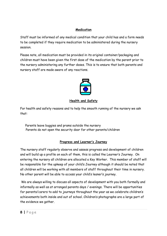## **Medication**

Staff must be informed of any medical condition that your child has and a form needs to be completed if they require medication to be administered during the nursery session.

Please note, all medication must be provided in its original container/packaging and children must have been given the first dose of the medication by the parent prior to the nursery administering any further doses. This is to ensure that both parents and nursery staff are made aware of any reactions.



# **Health and Safety**

For health and safety reasons and to help the smooth running of the nursery we ask that:

Parents leave buggies and prams outside the nursery Parents do not open the security door for other parents/children

# **Progress and Learner's Journey**

The nursery staff regularly observe and assess progress and development of children and will build up a profile on each of them, this is called the Learner's Journey. On entering the nursery all children are allocated a Key Worker. This member of staff will be responsible for the upkeep of your child's Journey although it should be noted that all children will be working with all members of staff throughout their time in nursery. No other parent will be able to access your child's leaner's journey.

We are always willing to discuss all aspects of development with you both formally and informally as well as at arranged parents days / evenings. There will be opportunities for parents/carers to add to journeys throughout the year as we celebrate children's achievements both inside and out of school. Children's photographs are a large part of the evidence we gather.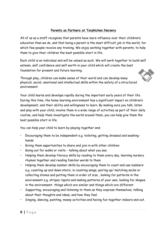## **Parents as Partners at Torphichen Nursery**

All of us as a staff recognise that parents have more influence over their children's education than we do, and that being a parent is the most difficult job in the world, for which few people receive any training. We enjoy working together with parents, to help them to give their children the best possible start in life.

Each child is an individual and will be valued as such. We will work together to build self esteem, self confidence and self worth in your child which will create the best foundation for present and future learning.

Through play, children can make sense of their world and can develop many physical, social, emotional and intellectual skills within the safety of a structured environment.

Your child learns and develops rapidly during the important early years of their life. During this time, the home learning environment has a significant impact on children's development, and their ability and willingness to learn. By making sure you talk, listen and play with your child, involve them in a wide range of activities as part of their daily routine, and help them investigate the world around them, you can help give them the best possible start in life.

You can help your child to learn by playing together and:

- Encouraging them to be independent e.g. toileting, getting dressed and washinghands
- Giving them opportunities to share and join in with other children
- Going out for walks or visits talking about what you see
- Helping them develop literacy skills by reading to them every day, learning nursery rhymes together and reading familiar words to them
- Helping them develop number skills by encouraging them to count and use numbers e.g. counting up and down stairs, in counting songs, pairing up/ matching socks or collecting stones and putting them in order of size , looking for patterns in the environment e.g. stripes /spots and making patterns of your own, looking for shapes in the environment- things which are similar and things which are different
- Supporting, encouraging and listening to them as they express themselves, talking about their thoughts and ideas, and how they feel.
- Singing, dancing, painting, messy activities and having fun together indoors and out.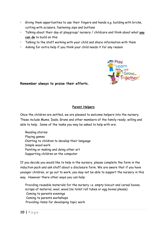- Giving them opportunities to use their fingers and hands e.g. building with bricks, cutting with scissors, fastening zips and buttons
- Talking about their day at playgroup/ nursery / childcare and think about what **you can do** to build on this
- Talking to the staff working with your child and share information with them
- Asking for extra help if you think your child needs it for any reason



**Remember always to praise their efforts.** 

## **Parent Helpers**

Once the children are settled, we are pleased to welcome helpers into the nursery. These include Mums, Dads, Grans and other members of the family ready, willing and able to help. Some of the tasks you may be asked to help with are:

Reading stories Playing games Chatting to children to develop their language Simple wood work Painting or making and doing other art Supporting children on the computer

If you decide you would like to help in the nursery, please complete the form in the induction pack and ask staff about a disclosure form. We are aware that if you have younger children, or go out to work, you may not be able to support the nursery in this way. However there other ways you can help:

Providing reusable materials for the nursery i.e. empty biscuit and cereal boxes, scraps of material, wool, wood (no toilet roll tubes or egg boxes please) Coming to parents evenings Coming to parents workshops Providing items for developing topic work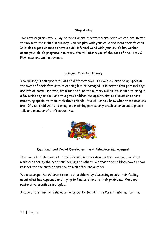# **Stay & Play**

We have regular 'Stay & Play' sessions where parents/carers/relatives etc. are invited to stay with their child in nursery. You can play with your child and meet their friends. It is also a good chance to have a quick informal word with your child's key worker about your child's progress in nursery. We will inform you of the date of the 'Stay & Play' sessions well in advance.

# **Bringing Toys to Nursery**

The nursery is equipped with lots of different toys. To avoid children being upset in the event of their favourite toys being lost or damaged, it is better that personal toys are left at home. However, from time to time the nursery will ask your child to bring in a favourite toy or book and this gives children the opportunity to discuss and share something special to them with their friends. We will let you know when these sessions are. If your child wants to bring in something particularly precious or valuable please talk to a member of staff about this.



# **Emotional and Social Development and Behaviour Management**

It is important that we help the children in nursery develop their own personalities while considering the needs and feelings of others. We teach the children how to show respect for one another and how to look after one another.

We encourage the children to sort out problems by discussing openly their feeling about what has happened and trying to find solutions to their problems. We adopt restorative practise strategies.

A copy of our Positive Behaviour Policy can be found in the Parent Information File.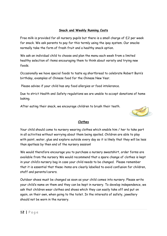# **Snack and Weekly Running Costs**

Free milk is provided for all nursery pupils but there is a small charge of £2 per week for snack. We ask parents to pay for this termly using the ipay system. Our snacks normally take the form of fresh fruit and a healthy snack option.

We ask an individual child to choose and plan the menu each week from a limited healthy selection of items encouraging them to think about variety and trying new foods.

Occasionally we have special foods to taste eg shortbread to celebrate Robert Burn's birthday, examples of Chinese food for the Chinese New Year.

Please advise if your child has any food allergies or food intolerance.

Due to strict Health and Safety regulations we are unable to accept donations of home baking.

After eating their snack, we encourage children to brush their teeth.



## **Clothes**

Your child should come to nursery wearing clothes which enable him / her to take part in all activities without worrying about them being spoiled. Children are able to play with paint, water, glue and explore outside every day so it is likely that they will be less than spotless by then end of the nursery session!

We would therefore encourage you to purchase a nursery sweatshirt, order forms are available from the nursery We would recommend that a spare change of clothes is kept in your child's nursery bag in case your child needs to be changed. Please remember that it is essential that these items are clearly labelled to avoid confusion for children, staff and parents/carers.

Outdoor shoes must be changed as soon as your child comes into nursery. Please write your child's name on them and they can be kept in nursery. To develop independence, we ask that children wear clothes and shoes which they can easily take off and put on again, on their own, when going to the toilet. In the interests of safety, jewellery should not be worn in the nursery.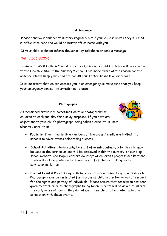## **Attendance**

Please send your children to nursery regularly but if your child is unwell they will find it difficult to cope and would be better off at home with you.

If your child is absent inform the school by telephone or send a message.

# Tel : 01506 652246.

In line with West Lothian Council procedures, a nursery child's absence will be reported to the Health Visitor if the Nursery/School is not made aware of the reason for the absence. Please keep your child off for 48 hours after sickness or diarrhoea.

It is important that we can contact you in an emergency so make sure that you keep your emergency contact information up to date.

## **Photographs**



As mentioned previously, sometimes we take photographs of children at work and play for display purposes. If you have any objections to your child's photograph being taken please let us know when you enrol them.

- **Publicity:** From time to time members of the press / media are invited into schools to cover events celebrating success.
- **School Activities:** Photography by staff of events, outings, activities etc. may be used in the curriculum and will be displayed within the nursery, on our blog, school website, and Dojo. Learners Journeys of children's progress are kept and these will include photographs taken by staff of children taking part in curricular activities.
- **Special Events:** Parents may wish to record these occasions e.g. Sports day etc. Photography may be restricted for reasons of child protection or out of respect for the rights and privacy of individuals. Please ensure that permission has been given by staff prior to photographs being taken. Parents will be asked to inform the early years officer if they do not wish their child to be photographed in connection with these events.